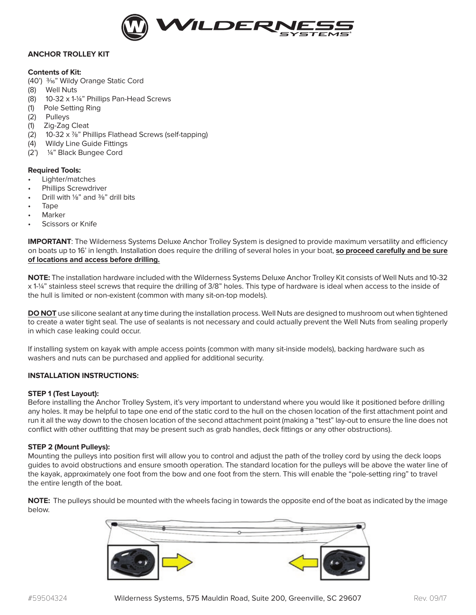

## **ANCHOR TROLLEY KIT**

## **Contents of Kit:**

(40') <sup>3/16"</sup> Wildy Orange Static Cord

- (8) Well Nuts
- (8) 10-32 x 1-1/4" Phillips Pan-Head Screws
- (1) Pole Setting Ring
- (2) Pulleys
- (1) Zig-Zag Cleat
- (2) 10-32  $\times$  7/8" Phillips Flathead Screws (self-tapping)
- (4) Wildy Line Guide Fittings
- (2') 1/4" Black Bungee Cord

## **Required Tools:**

- Lighter/matches
- Phillips Screwdriver
- Drill with 1/8" and 3/8" drill bits
- Tape
- **Marker**
- Scissors or Knife

**IMPORTANT:** The Wilderness Systems Deluxe Anchor Trolley System is designed to provide maximum versatility and efficiency on boats up to 16' in length. Installation does require the drilling of several holes in your boat, **so proceed carefully and be sure of locations and access before drilling.**

**NOTE:** The installation hardware included with the Wilderness Systems Deluxe Anchor Trolley Kit consists of Well Nuts and 10-32 x 1-1/4" stainless steel screws that require the drilling of 3/8" holes. This type of hardware is ideal when access to the inside of the hull is limited or non-existent (common with many sit-on-top models).

**DO NOT** use silicone sealant at any time during the installation process. Well Nuts are designed to mushroom out when tightened to create a water tight seal. The use of sealants is not necessary and could actually prevent the Well Nuts from sealing properly in which case leaking could occur.

If installing system on kayak with ample access points (common with many sit-inside models), backing hardware such as washers and nuts can be purchased and applied for additional security.

## **INSTALLATION INSTRUCTIONS:**

#### **STEP 1 (Test Layout):**

Before installing the Anchor Trolley System, it's very important to understand where you would like it positioned before drilling any holes. It may be helpful to tape one end of the static cord to the hull on the chosen location of the first attachment point and run it all the way down to the chosen location of the second attachment point (making a "test" lay-out to ensure the line does not conflict with other outfitting that may be present such as grab handles, deck fittings or any other obstructions).

#### **STEP 2 (Mount Pulleys):**

Mounting the pulleys into position first will allow you to control and adjust the path of the trolley cord by using the deck loops guides to avoid obstructions and ensure smooth operation. The standard location for the pulleys will be above the water line of the kayak, approximately one foot from the bow and one foot from the stern. This will enable the "pole-setting ring" to travel the entire length of the boat.

**NOTE:** The pulleys should be mounted with the wheels facing in towards the opposite end of the boat as indicated by the image below.

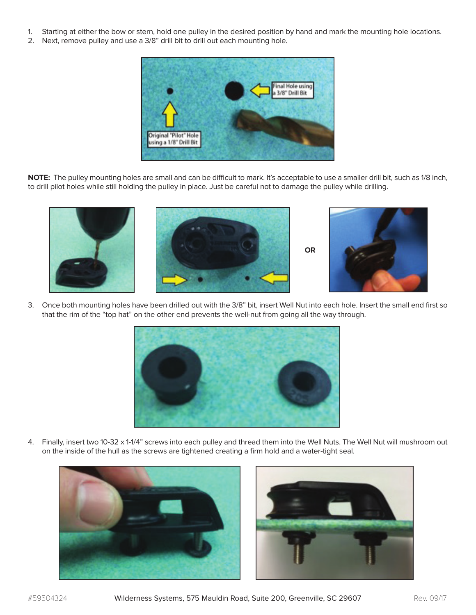- 1. Starting at either the bow or stern, hold one pulley in the desired position by hand and mark the mounting hole locations.
- 2. Next, remove pulley and use a 3/8" drill bit to drill out each mounting hole.



**NOTE:** The pulley mounting holes are small and can be difficult to mark. It's acceptable to use a smaller drill bit, such as 1/8 inch, to drill pilot holes while still holding the pulley in place. Just be careful not to damage the pulley while drilling.



3. Once both mounting holes have been drilled out with the 3/8" bit, insert Well Nut into each hole. Insert the small end first so that the rim of the "top hat" on the other end prevents the well-nut from going all the way through.



4. Finally, insert two 10-32 x 1-1/4" screws into each pulley and thread them into the Well Nuts. The Well Nut will mushroom out on the inside of the hull as the screws are tightened creating a firm hold and a water-tight seal.



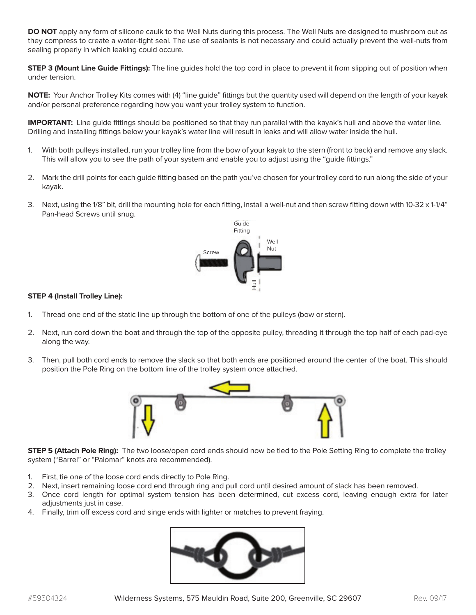**DO NOT** apply any form of silicone caulk to the Well Nuts during this process. The Well Nuts are designed to mushroom out as they compress to create a water-tight seal. The use of sealants is not necessary and could actually prevent the well-nuts from sealing properly in which leaking could occure.

**STEP 3 (Mount Line Guide Fittings):** The line guides hold the top cord in place to prevent it from slipping out of position when under tension.

**NOTE:** Your Anchor Trolley Kits comes with (4) "line guide" fittings but the quantity used will depend on the length of your kayak and/or personal preference regarding how you want your trolley system to function.

**IMPORTANT:** Line guide fittings should be positioned so that they run parallel with the kayak's hull and above the water line. Drilling and installing fittings below your kayak's water line will result in leaks and will allow water inside the hull.

- 1. With both pulleys installed, run your trolley line from the bow of your kayak to the stern (front to back) and remove any slack. This will allow you to see the path of your system and enable you to adjust using the "guide fittings."
- 2. Mark the drill points for each guide fitting based on the path you've chosen for your trolley cord to run along the side of your kayak.
- 3. Next, using the 1/8" bit, drill the mounting hole for each fitting, install a well-nut and then screw fitting down with 10-32 x 1-1/4" Pan-head Screws until snug.



# **STEP 4 (Install Trolley Line):**

- 1. Thread one end of the static line up through the bottom of one of the pulleys (bow or stern).
- 2. Next, run cord down the boat and through the top of the opposite pulley, threading it through the top half of each pad-eye along the way.
- 3. Then, pull both cord ends to remove the slack so that both ends are positioned around the center of the boat. This should position the Pole Ring on the bottom line of the trolley system once attached.



**STEP 5 (Attach Pole Ring):** The two loose/open cord ends should now be tied to the Pole Setting Ring to complete the trolley system ("Barrel" or "Palomar" knots are recommended).

- 1. First, tie one of the loose cord ends directly to Pole Ring.
- 2. Next, insert remaining loose cord end through ring and pull cord until desired amount of slack has been removed.
- 3. Once cord length for optimal system tension has been determined, cut excess cord, leaving enough extra for later adjustments just in case.
- 4. Finally, trim off excess cord and singe ends with lighter or matches to prevent fraying.